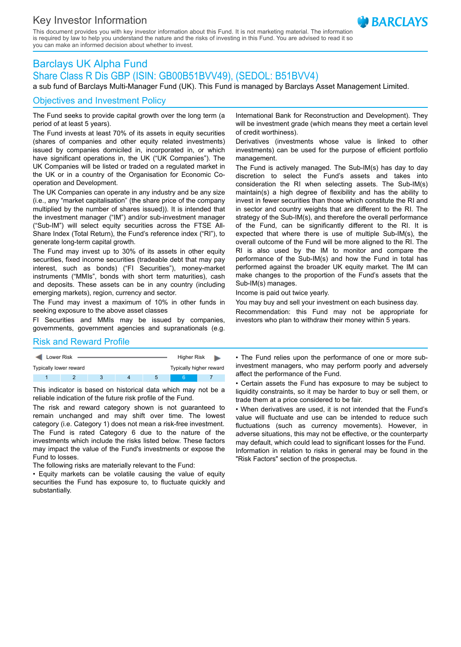## Key Investor Information

This document provides you with key investor information about this Fund. It is not marketing material. The information is required by law to help you understand the nature and the risks of investing in this Fund. You are advised to read it so you can make an informed decision about whether to invest.

# Barclays UK Alpha Fund Share Class R Dis GBP (ISIN: GB00B51BVV49), (SEDOL: B51BVV4)

a sub fund of Barclays Multi-Manager Fund (UK). This Fund is managed by Barclays Asset Management Limited.

## Objectives and Investment Policy

The Fund seeks to provide capital growth over the long term (a period of at least 5 years).

The Fund invests at least 70% of its assets in equity securities (shares of companies and other equity related investments) issued by companies domiciled in, incorporated in, or which have significant operations in, the UK ("UK Companies"). The UK Companies will be listed or traded on a regulated market in the UK or in a country of the Organisation for Economic Cooperation and Development.

The UK Companies can operate in any industry and be any size (i.e., any "market capitalisation" (the share price of the company multiplied by the number of shares issued)). It is intended that the investment manager ("IM") and/or sub-investment manager ("Sub-IM") will select equity securities across the FTSE All-Share Index (Total Return), the Fund's reference index ("RI"), to generate long-term capital growth.

The Fund may invest up to 30% of its assets in other equity securities, fixed income securities (tradeable debt that may pay interest, such as bonds) ("FI Securities"), money-market instruments ("MMIs", bonds with short term maturities), cash and deposits. These assets can be in any country (including emerging markets), region, currency and sector.

The Fund may invest a maximum of 10% in other funds in seeking exposure to the above asset classes

FI Securities and MMIs may be issued by companies, governments, government agencies and supranationals (e.g.

#### Risk and Reward Profile

| Lower Risk             |  |  |  |   | Higher Risk             |  |
|------------------------|--|--|--|---|-------------------------|--|
| Typically lower reward |  |  |  |   | Typically higher reward |  |
|                        |  |  |  | b |                         |  |

This indicator is based on historical data which may not be a reliable indication of the future risk profile of the Fund.

The risk and reward category shown is not guaranteed to remain unchanged and may shift over time. The lowest category (i.e. Category 1) does not mean a risk-free investment. The Fund is rated Category 6 due to the nature of the investments which include the risks listed below. These factors may impact the value of the Fund's investments or expose the Fund to losses.

The following risks are materially relevant to the Fund:

• Equity markets can be volatile causing the value of equity securities the Fund has exposure to, to fluctuate quickly and substantially.

International Bank for Reconstruction and Development). They will be investment grade (which means they meet a certain level of credit worthiness).

Derivatives (investments whose value is linked to other investments) can be used for the purpose of efficient portfolio management.

The Fund is actively managed. The Sub-IM(s) has day to day discretion to select the Fund's assets and takes into consideration the RI when selecting assets. The Sub-IM(s) maintain(s) a high degree of flexibility and has the ability to invest in fewer securities than those which constitute the RI and in sector and country weights that are different to the RI. The strategy of the Sub-IM(s), and therefore the overall performance of the Fund, can be significantly different to the RI. It is expected that where there is use of multiple Sub-IM(s), the overall outcome of the Fund will be more aligned to the RI. The RI is also used by the IM to monitor and compare the performance of the Sub-IM(s) and how the Fund in total has performed against the broader UK equity market. The IM can make changes to the proportion of the Fund's assets that the Sub-IM(s) manages.

Income is paid out twice yearly.

You may buy and sell your investment on each business day. Recommendation: this Fund may not be appropriate for investors who plan to withdraw their money within 5 years.

• The Fund relies upon the performance of one or more subinvestment managers, who may perform poorly and adversely affect the performance of the Fund.

• Certain assets the Fund has exposure to may be subject to liquidity constraints, so it may be harder to buy or sell them, or trade them at a price considered to be fair.

• When derivatives are used, it is not intended that the Fund's value will fluctuate and use can be intended to reduce such fluctuations (such as currency movements). However, in adverse situations, this may not be effective, or the counterparty may default, which could lead to significant losses for the Fund. Information in relation to risks in general may be found in the "Risk Factors" section of the prospectus.